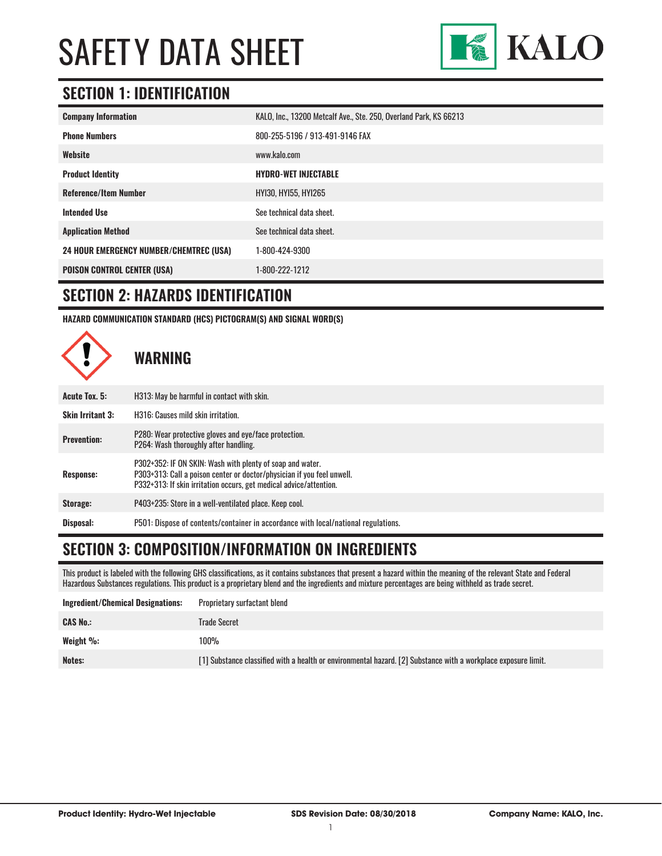

### **SECTION 1: IDENTIFICATION**

| <b>Company Information</b>                     | KALO, Inc., 13200 Metcalf Ave., Ste. 250, Overland Park, KS 66213 |
|------------------------------------------------|-------------------------------------------------------------------|
| <b>Phone Numbers</b>                           | 800-255-5196 / 913-491-9146 FAX                                   |
| Website                                        | www.kalo.com                                                      |
| <b>Product Identity</b>                        | <b>HYDRO-WET INJECTABLE</b>                                       |
| <b>Reference/Item Number</b>                   | HY130, HY155, HY1265                                              |
| <b>Intended Use</b>                            | See technical data sheet.                                         |
| <b>Application Method</b>                      | See technical data sheet.                                         |
| <b>24 HOUR EMERGENCY NUMBER/CHEMTREC (USA)</b> | 1-800-424-9300                                                    |
| <b>POISON CONTROL CENTER (USA)</b>             | 1-800-222-1212                                                    |

#### **SECTION 2: HAZARDS IDENTIFICATION**

**HAZARD COMMUNICATION STANDARD (HCS) PICTOGRAM(S) AND SIGNAL WORD(S)**



#### **SECTION 3: COMPOSITION/INFORMATION ON INGREDIENTS**

This product is labeled with the following GHS classifications, as it contains substances that present a hazard within the meaning of the relevant State and Federal Hazardous Substances regulations. This product is a proprietary blend and the ingredients and mixture percentages are being withheld as trade secret.

| Ingredient/Chemical Designations: | Proprietary surfactant blend                                                                                   |
|-----------------------------------|----------------------------------------------------------------------------------------------------------------|
| <b>CAS No.:</b>                   | Trade Secret                                                                                                   |
| Weight %:                         | 100%                                                                                                           |
| Notes:                            | [1] Substance classified with a health or environmental hazard. [2] Substance with a workplace exposure limit. |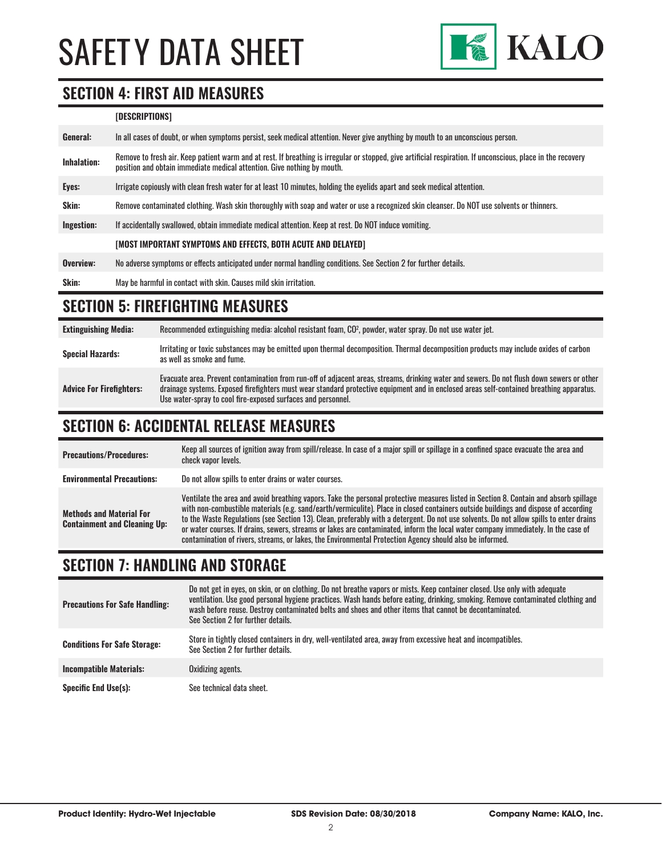

#### **SECTION 4: FIRST AID MEASURES**

#### **[DESCRIPTIONS]**

| General:     | In all cases of doubt, or when symptoms persist, seek medical attention. Never give anything by mouth to an unconscious person.                                                                                                         |
|--------------|-----------------------------------------------------------------------------------------------------------------------------------------------------------------------------------------------------------------------------------------|
| Inhalation:  | Remove to fresh air. Keep patient warm and at rest. If breathing is irregular or stopped, give artificial respiration. If unconscious, place in the recovery<br>position and obtain immediate medical attention. Give nothing by mouth. |
| Eyes:        | Irrigate copiously with clean fresh water for at least 10 minutes, holding the evelids apart and seek medical attention.                                                                                                                |
| <b>Skin:</b> | Remove contaminated clothing. Wash skin thoroughly with soap and water or use a recognized skin cleanser. Do NOT use solvents or thinners.                                                                                              |
| Ingestion:   | If accidentally swallowed, obtain immediate medical attention. Keep at rest. Do NOT induce vomiting.                                                                                                                                    |
|              | [MOST IMPORTANT SYMPTOMS AND EFFECTS, BOTH ACUTE AND DELAYED]                                                                                                                                                                           |
| Overview:    | No adverse symptoms or effects anticipated under normal handling conditions. See Section 2 for further details.                                                                                                                         |
| Skin:        | May be harmful in contact with skin. Causes mild skin irritation.                                                                                                                                                                       |

# **SECTION 5: FIREFIGHTING MEASURES**

**Extinguishing Media:** Recommended extinguishing media: alcohol resistant foam, CO<sup>2</sup> , powder, water spray. Do not use water jet. **Special Hazards:** Irritating or toxic substances may be emitted upon thermal decomposition. Thermal decomposition products may include oxides of carbon **Special Hazards:** as well as smoke and fume. **Advice For Firefighters:** Evacuate area. Prevent contamination from run-off of adjacent areas, streams, drinking water and sewers. Do not flush down sewers or other drainage systems. Exposed firefighters must wear standard protective equipment and in enclosed areas self-contained breathing apparatus. Use water-spray to cool fire-exposed surfaces and personnel.

### **SECTION 6: ACCIDENTAL RELEASE MEASURES**

| <b>Precautions/Procedures:</b>                                         | Keep all sources of ignition away from spill/release. In case of a major spill or spillage in a confined space evacuate the area and<br>check vapor levels.                                                                                                                                                                                                                                                                                                                                                                                                                                                                                                               |
|------------------------------------------------------------------------|---------------------------------------------------------------------------------------------------------------------------------------------------------------------------------------------------------------------------------------------------------------------------------------------------------------------------------------------------------------------------------------------------------------------------------------------------------------------------------------------------------------------------------------------------------------------------------------------------------------------------------------------------------------------------|
| <b>Environmental Precautions:</b>                                      | Do not allow spills to enter drains or water courses.                                                                                                                                                                                                                                                                                                                                                                                                                                                                                                                                                                                                                     |
| <b>Methods and Material For</b><br><b>Containment and Cleaning Up:</b> | Ventilate the area and avoid breathing vapors. Take the personal protective measures listed in Section 8. Contain and absorb spillage<br>with non-combustible materials (e.g. sand/earth/vermiculite). Place in closed containers outside buildings and dispose of according<br>to the Waste Regulations (see Section 13). Clean, preferably with a detergent. Do not use solvents. Do not allow spills to enter drains<br>or water courses. If drains, sewers, streams or lakes are contaminated, inform the local water company immediately. In the case of<br>contamination of rivers, streams, or lakes, the Environmental Protection Agency should also be informed. |

### **SECTION 7: HANDLING AND STORAGE**

| <b>Precautions For Safe Handling:</b> | Do not get in eyes, on skin, or on clothing. Do not breathe vapors or mists. Keep container closed. Use only with adequate<br>ventilation. Use good personal hygiene practices. Wash hands before eating, drinking, smoking. Remove contaminated clothing and<br>wash before reuse. Destroy contaminated belts and shoes and other items that cannot be decontaminated.<br>See Section 2 for further details. |
|---------------------------------------|---------------------------------------------------------------------------------------------------------------------------------------------------------------------------------------------------------------------------------------------------------------------------------------------------------------------------------------------------------------------------------------------------------------|
| <b>Conditions For Safe Storage:</b>   | Store in tightly closed containers in dry, well-ventilated area, away from excessive heat and incompatibles.<br>See Section 2 for further details.                                                                                                                                                                                                                                                            |
| <b>Incompatible Materials:</b>        | Oxidizing agents.                                                                                                                                                                                                                                                                                                                                                                                             |
| <b>Specific End Use(s):</b>           | See technical data sheet.                                                                                                                                                                                                                                                                                                                                                                                     |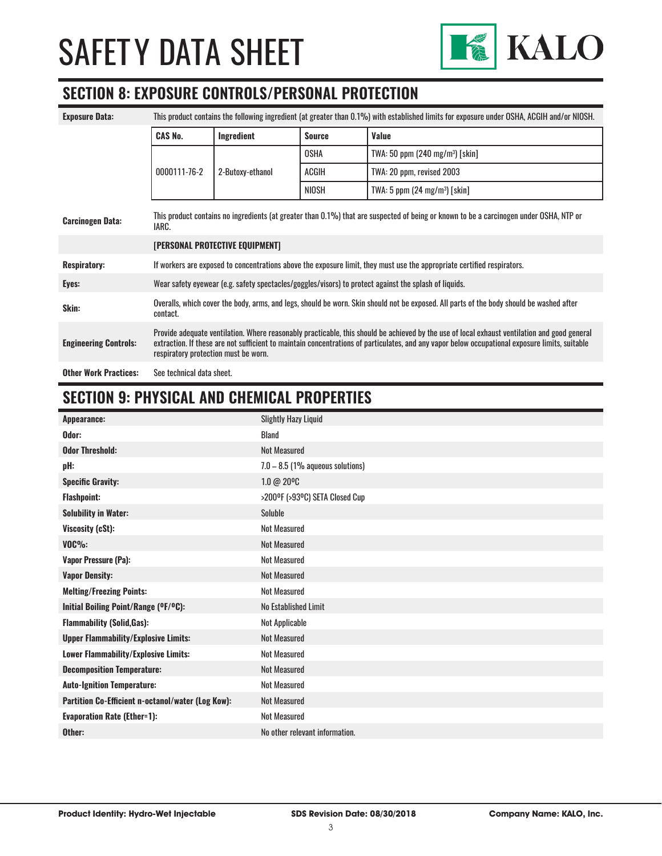

#### **SECTION 8: EXPOSURE CONTROLS/PERSONAL PROTECTION**

| <b>Exposure Data:</b>        | This product contains the following ingredient (at greater than 0.1%) with established limits for exposure under OSHA, ACGIH and/or NIOSH.                                                                                                                                                                                             |                  |               |                                           |
|------------------------------|----------------------------------------------------------------------------------------------------------------------------------------------------------------------------------------------------------------------------------------------------------------------------------------------------------------------------------------|------------------|---------------|-------------------------------------------|
|                              | <b>CAS No.</b>                                                                                                                                                                                                                                                                                                                         | Ingredient       | <b>Source</b> | Value                                     |
|                              |                                                                                                                                                                                                                                                                                                                                        |                  | <b>OSHA</b>   | TWA: 50 ppm $(240 \text{ mg/m}^3)$ [skin] |
|                              | 0000111-76-2                                                                                                                                                                                                                                                                                                                           | 2-Butoxy-ethanol | ACGIH         | TWA: 20 ppm, revised 2003                 |
|                              |                                                                                                                                                                                                                                                                                                                                        |                  | <b>NIOSH</b>  | TWA: 5 ppm $(24 \text{ mg/m}^3)$ [skin]   |
| <b>Carcinogen Data:</b>      | This product contains no ingredients (at greater than 0.1%) that are suspected of being or known to be a carcinogen under OSHA, NTP or<br>IARC.                                                                                                                                                                                        |                  |               |                                           |
|                              | [PERSONAL PROTECTIVE EQUIPMENT]                                                                                                                                                                                                                                                                                                        |                  |               |                                           |
| <b>Respiratory:</b>          | If workers are exposed to concentrations above the exposure limit, they must use the appropriate certified respirators.                                                                                                                                                                                                                |                  |               |                                           |
| Eyes:                        | Wear safety eyewear (e.g. safety spectacles/goggles/visors) to protect against the splash of liquids.                                                                                                                                                                                                                                  |                  |               |                                           |
| Skin:                        | Overalls, which cover the body, arms, and legs, should be worn. Skin should not be exposed. All parts of the body should be washed after<br>contact.                                                                                                                                                                                   |                  |               |                                           |
| <b>Engineering Controls:</b> | Provide adequate ventilation. Where reasonably practicable, this should be achieved by the use of local exhaust ventilation and good general<br>extraction. If these are not sufficient to maintain concentrations of particulates, and any vapor below occupational exposure limits, suitable<br>respiratory protection must be worn. |                  |               |                                           |
| <b>Other Work Practices:</b> | See technical data sheet.                                                                                                                                                                                                                                                                                                              |                  |               |                                           |

# **SECTION 9: PHYSICAL AND CHEMICAL PROPERTIES**

| Appearance:                                       | <b>Slightly Hazy Liquid</b>        |
|---------------------------------------------------|------------------------------------|
| Odor:                                             | <b>Bland</b>                       |
| <b>Odor Threshold:</b>                            | <b>Not Measured</b>                |
| pH:                                               | $7.0 - 8.5$ (1% aqueous solutions) |
| <b>Specific Gravity:</b>                          | 1.0 @ 20°C                         |
| <b>Flashpoint:</b>                                | >200°F (>93°C) SETA Closed Cup     |
| <b>Solubility in Water:</b>                       | Soluble                            |
| Viscosity (cSt):                                  | <b>Not Measured</b>                |
| $VOC\%$ :                                         | <b>Not Measured</b>                |
| <b>Vapor Pressure (Pa):</b>                       | <b>Not Measured</b>                |
| <b>Vapor Density:</b>                             | <b>Not Measured</b>                |
| <b>Melting/Freezing Points:</b>                   | <b>Not Measured</b>                |
| Initial Boiling Point/Range (OF/OC):              | No Established Limit               |
| <b>Flammability (Solid, Gas):</b>                 | Not Applicable                     |
| <b>Upper Flammability/Explosive Limits:</b>       | <b>Not Measured</b>                |
| Lower Flammability/Explosive Limits:              | <b>Not Measured</b>                |
| <b>Decomposition Temperature:</b>                 | <b>Not Measured</b>                |
| <b>Auto-Ignition Temperature:</b>                 | <b>Not Measured</b>                |
| Partition Co-Efficient n-octanol/water (Log Kow): | <b>Not Measured</b>                |
| <b>Evaporation Rate (Ether=1):</b>                | <b>Not Measured</b>                |
| Other:                                            | No other relevant information.     |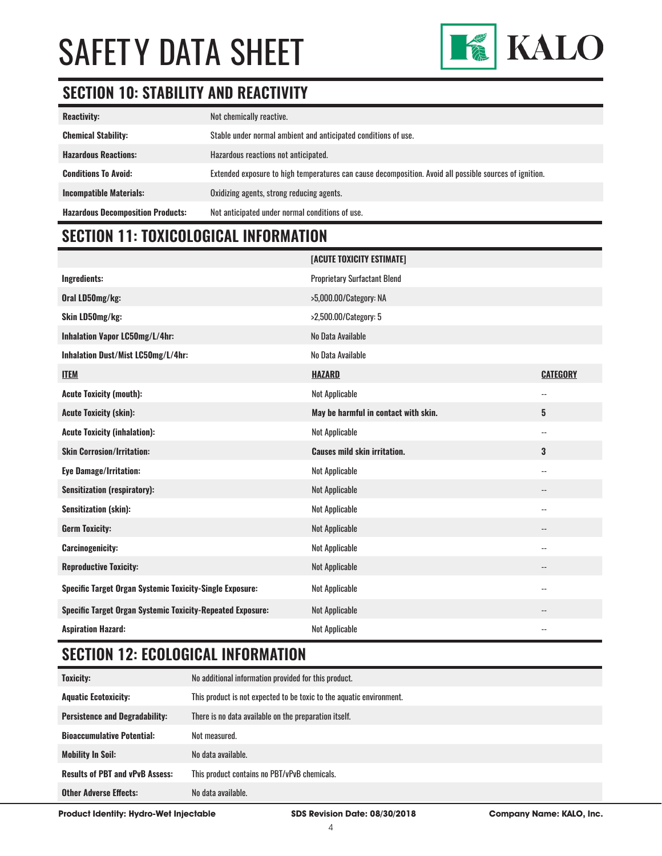

# **SECTION 10: STABILITY AND REACTIVITY**

| <b>Reactivity:</b>                       | Not chemically reactive.                                                                                |
|------------------------------------------|---------------------------------------------------------------------------------------------------------|
| <b>Chemical Stability:</b>               | Stable under normal ambient and anticipated conditions of use.                                          |
| <b>Hazardous Reactions:</b>              | Hazardous reactions not anticipated.                                                                    |
| <b>Conditions To Avoid:</b>              | Extended exposure to high temperatures can cause decomposition. Avoid all possible sources of ignition. |
| <b>Incompatible Materials:</b>           | Oxidizing agents, strong reducing agents.                                                               |
| <b>Hazardous Decomposition Products:</b> | Not anticipated under normal conditions of use.                                                         |

# **SECTION 11: TOXICOLOGICAL INFORMATION**

|                                                                   | [ACUTE TOXICITY ESTIMATE]            |                            |
|-------------------------------------------------------------------|--------------------------------------|----------------------------|
| Ingredients:                                                      | <b>Proprietary Surfactant Blend</b>  |                            |
| Oral LD50mg/kg:                                                   | >5,000.00/Category: NA               |                            |
| Skin LD50mg/kg:                                                   | >2,500.00/Category: 5                |                            |
| Inhalation Vapor LC50mg/L/4hr:                                    | No Data Available                    |                            |
| Inhalation Dust/Mist LC50mg/L/4hr:                                | No Data Available                    |                            |
| <b>ITEM</b>                                                       | <b>HAZARD</b>                        | <b>CATEGORY</b>            |
| <b>Acute Toxicity (mouth):</b>                                    | <b>Not Applicable</b>                | $\overline{\phantom{a}}$ . |
| <b>Acute Toxicity (skin):</b>                                     | May be harmful in contact with skin. | 5                          |
| <b>Acute Toxicity (inhalation):</b>                               | <b>Not Applicable</b>                | $\overline{\phantom{a}}$ . |
| <b>Skin Corrosion/Irritation:</b>                                 | <b>Causes mild skin irritation.</b>  | 3                          |
| <b>Eye Damage/Irritation:</b>                                     | <b>Not Applicable</b>                | $\overline{\phantom{a}}$ . |
| <b>Sensitization (respiratory):</b>                               | Not Applicable                       | $\overline{\phantom{a}}$   |
| <b>Sensitization (skin):</b>                                      | <b>Not Applicable</b>                | $-$                        |
| <b>Germ Toxicity:</b>                                             | <b>Not Applicable</b>                | $-$                        |
| <b>Carcinogenicity:</b>                                           | <b>Not Applicable</b>                | $\overline{\phantom{a}}$ . |
| <b>Reproductive Toxicity:</b>                                     | Not Applicable                       | $\qquad \qquad -$          |
| Specific Target Organ Systemic Toxicity-Single Exposure:          | <b>Not Applicable</b>                | $\overline{\phantom{a}}$ . |
| <b>Specific Target Organ Systemic Toxicity-Repeated Exposure:</b> | Not Applicable                       | $-$                        |
| <b>Aspiration Hazard:</b>                                         | <b>Not Applicable</b>                | $-$                        |

### **SECTION 12: ECOLOGICAL INFORMATION**

| <b>Toxicity:</b>                       | No additional information provided for this product.                 |
|----------------------------------------|----------------------------------------------------------------------|
| <b>Aquatic Ecotoxicity:</b>            | This product is not expected to be toxic to the aquatic environment. |
| <b>Persistence and Degradability:</b>  | There is no data available on the preparation itself.                |
| <b>Bioaccumulative Potential:</b>      | Not measured.                                                        |
| <b>Mobility In Soil:</b>               | No data available.                                                   |
| <b>Results of PBT and vPvB Assess:</b> | This product contains no PBT/vPvB chemicals.                         |
| <b>Other Adverse Effects:</b>          | No data available.                                                   |

**Product Identity: Hydro-Wet Injectable SDS Revision Date: 08/30/2018 Company Name: KALO, Inc.**